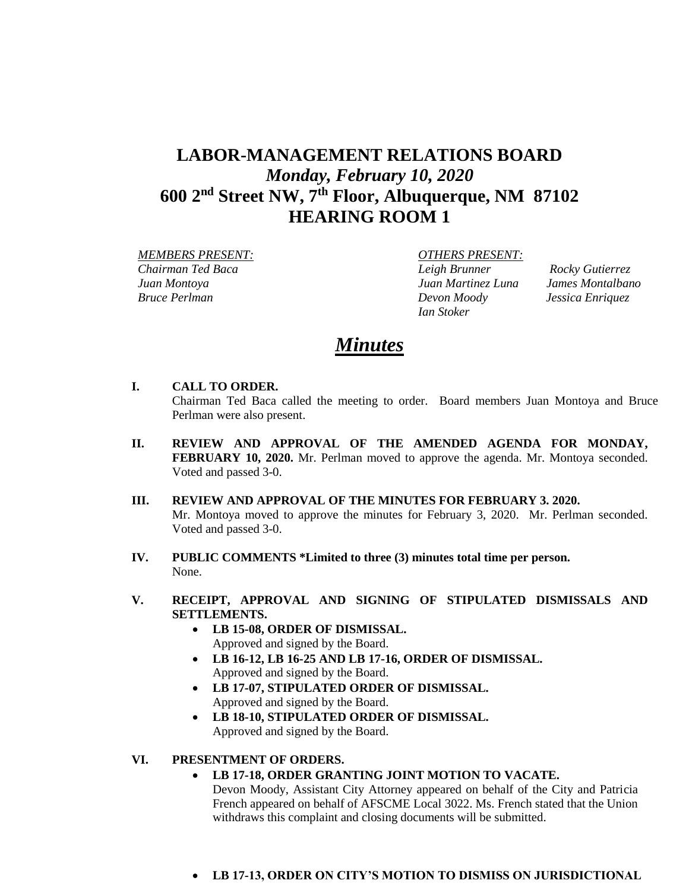# **LABOR-MANAGEMENT RELATIONS BOARD** *Monday, February 10, 2020* **600 2nd Street NW, 7th Floor, Albuquerque, NM 87102 HEARING ROOM 1**

 *MEMBERS PRESENT: OTHERS PRESENT: Chairman Ted Baca Leigh Brunner Rocky Gutierrez Juan Montoya Juan Martinez Luna James Montalbano Bruce Perlman Devon Moody Jessica Enriquez*

*Ian Stoker*

# *Minutes*

## **I. CALL TO ORDER.**

Chairman Ted Baca called the meeting to order. Board members Juan Montoya and Bruce Perlman were also present.

- **II. REVIEW AND APPROVAL OF THE AMENDED AGENDA FOR MONDAY, FEBRUARY 10, 2020.** Mr. Perlman moved to approve the agenda. Mr. Montoya seconded. Voted and passed 3-0.
- **III. REVIEW AND APPROVAL OF THE MINUTES FOR FEBRUARY 3. 2020.**  Mr. Montoya moved to approve the minutes for February 3, 2020. Mr. Perlman seconded. Voted and passed 3-0.
- **IV. PUBLIC COMMENTS \*Limited to three (3) minutes total time per person.** None.
- **V. RECEIPT, APPROVAL AND SIGNING OF STIPULATED DISMISSALS AND SETTLEMENTS.**
	- **LB 15-08, ORDER OF DISMISSAL.**  Approved and signed by the Board.
	- **LB 16-12, LB 16-25 AND LB 17-16, ORDER OF DISMISSAL.**  Approved and signed by the Board.
	- **LB 17-07, STIPULATED ORDER OF DISMISSAL.**  Approved and signed by the Board.
	- **LB 18-10, STIPULATED ORDER OF DISMISSAL.**  Approved and signed by the Board.

## **VI. PRESENTMENT OF ORDERS.**

## • **LB 17-18, ORDER GRANTING JOINT MOTION TO VACATE.**

Devon Moody, Assistant City Attorney appeared on behalf of the City and Patricia French appeared on behalf of AFSCME Local 3022. Ms. French stated that the Union withdraws this complaint and closing documents will be submitted.

• **LB 17-13, ORDER ON CITY'S MOTION TO DISMISS ON JURISDICTIONAL**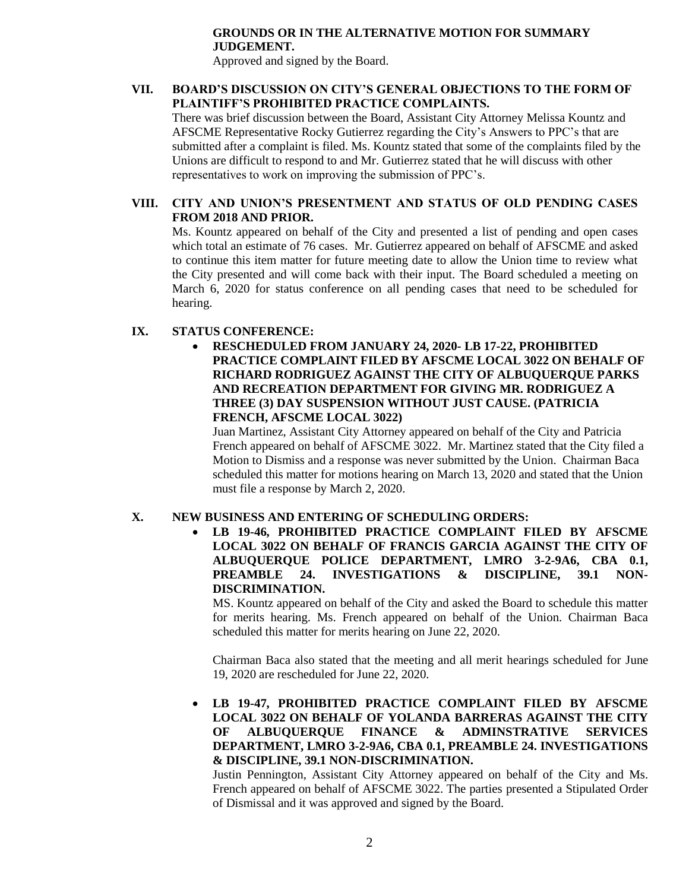## **GROUNDS OR IN THE ALTERNATIVE MOTION FOR SUMMARY JUDGEMENT.**

Approved and signed by the Board.

## **VII. BOARD'S DISCUSSION ON CITY'S GENERAL OBJECTIONS TO THE FORM OF PLAINTIFF'S PROHIBITED PRACTICE COMPLAINTS.**

There was brief discussion between the Board, Assistant City Attorney Melissa Kountz and AFSCME Representative Rocky Gutierrez regarding the City's Answers to PPC's that are submitted after a complaint is filed. Ms. Kountz stated that some of the complaints filed by the Unions are difficult to respond to and Mr. Gutierrez stated that he will discuss with other representatives to work on improving the submission of PPC's.

## **VIII. CITY AND UNION'S PRESENTMENT AND STATUS OF OLD PENDING CASES FROM 2018 AND PRIOR.**

Ms. Kountz appeared on behalf of the City and presented a list of pending and open cases which total an estimate of 76 cases.Mr. Gutierrez appeared on behalf of AFSCME and asked to continue this item matter for future meeting date to allow the Union time to review what the City presented and will come back with their input. The Board scheduled a meeting on March 6, 2020 for status conference on all pending cases that need to be scheduled for hearing.

# **IX. STATUS CONFERENCE:**

• **RESCHEDULED FROM JANUARY 24, 2020- LB 17-22, PROHIBITED PRACTICE COMPLAINT FILED BY AFSCME LOCAL 3022 ON BEHALF OF RICHARD RODRIGUEZ AGAINST THE CITY OF ALBUQUERQUE PARKS AND RECREATION DEPARTMENT FOR GIVING MR. RODRIGUEZ A THREE (3) DAY SUSPENSION WITHOUT JUST CAUSE. (PATRICIA FRENCH, AFSCME LOCAL 3022)**

Juan Martinez, Assistant City Attorney appeared on behalf of the City and Patricia French appeared on behalf of AFSCME 3022. Mr. Martinez stated that the City filed a Motion to Dismiss and a response was never submitted by the Union. Chairman Baca scheduled this matter for motions hearing on March 13, 2020 and stated that the Union must file a response by March 2, 2020.

## **X. NEW BUSINESS AND ENTERING OF SCHEDULING ORDERS:**

• **LB 19-46, PROHIBITED PRACTICE COMPLAINT FILED BY AFSCME LOCAL 3022 ON BEHALF OF FRANCIS GARCIA AGAINST THE CITY OF ALBUQUERQUE POLICE DEPARTMENT, LMRO 3-2-9A6, CBA 0.1, PREAMBLE 24. INVESTIGATIONS & DISCIPLINE, 39.1 NON-DISCRIMINATION.** 

MS. Kountz appeared on behalf of the City and asked the Board to schedule this matter for merits hearing. Ms. French appeared on behalf of the Union. Chairman Baca scheduled this matter for merits hearing on June 22, 2020.

Chairman Baca also stated that the meeting and all merit hearings scheduled for June 19, 2020 are rescheduled for June 22, 2020.

• **LB 19-47, PROHIBITED PRACTICE COMPLAINT FILED BY AFSCME LOCAL 3022 ON BEHALF OF YOLANDA BARRERAS AGAINST THE CITY OF ALBUQUERQUE FINANCE & ADMINSTRATIVE SERVICES DEPARTMENT, LMRO 3-2-9A6, CBA 0.1, PREAMBLE 24. INVESTIGATIONS & DISCIPLINE, 39.1 NON-DISCRIMINATION.**

Justin Pennington, Assistant City Attorney appeared on behalf of the City and Ms. French appeared on behalf of AFSCME 3022. The parties presented a Stipulated Order of Dismissal and it was approved and signed by the Board.